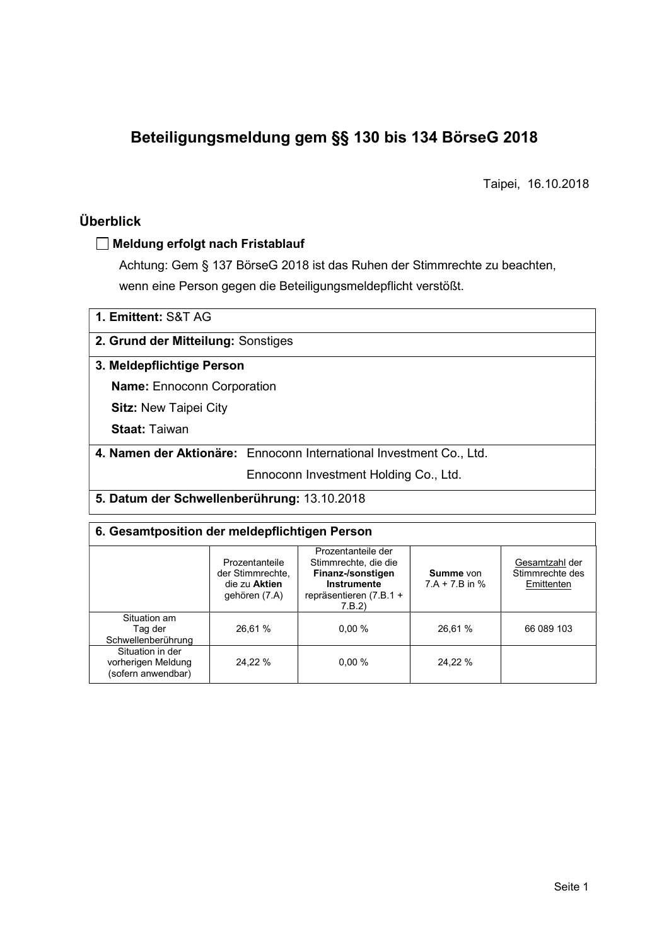# Beteiligungsmeldung gem §§ 130 bis 134 BörseG 2018

Taipei, 16.10.2018

# Überblick

#### Meldung erfolgt nach Fristablauf

Achtung: Gem § 137 BörseG 2018 ist das Ruhen der Stimmrechte zu beachten, wenn eine Person gegen die Beteiligungsmeldepflicht verstößt.

| 1. Emittent: S&T AG                                                 |
|---------------------------------------------------------------------|
| 2. Grund der Mitteilung: Sonstiges                                  |
| 3. Meldepflichtige Person                                           |
| <b>Name:</b> Ennoconn Corporation                                   |
| <b>Sitz: New Taipei City</b>                                        |
| <b>Staat: Taiwan</b>                                                |
| 4. Namen der Aktionäre: Ennoconn International Investment Co., Ltd. |
| Ennoconn Investment Holding Co., Ltd.                               |
| 5. Datum der Schwellenberührung: 13.10.2018                         |

# 6. Gesamtposition der meldepflichtigen Person

|                                                              | Prozentanteile<br>der Stimmrechte.<br>die zu Aktien<br>gehören (7.A) | Prozentanteile der<br>Stimmrechte, die die<br>Finanz-/sonstigen<br>Instrumente<br>repräsentieren (7.B.1 +<br>7.B.2 | Summe von<br>$7.A + 7.B$ in % | Gesamtzahl der<br>Stimmrechte des<br>Emittenten |  |  |
|--------------------------------------------------------------|----------------------------------------------------------------------|--------------------------------------------------------------------------------------------------------------------|-------------------------------|-------------------------------------------------|--|--|
| Situation am<br>Taq der<br>Schwellenberührung                | 26,61 %                                                              | 0.00%                                                                                                              | 26,61 %                       | 66 089 103                                      |  |  |
| Situation in der<br>vorherigen Meldung<br>(sofern anwendbar) | 24.22 %                                                              | 0.00%                                                                                                              | 24,22 %                       |                                                 |  |  |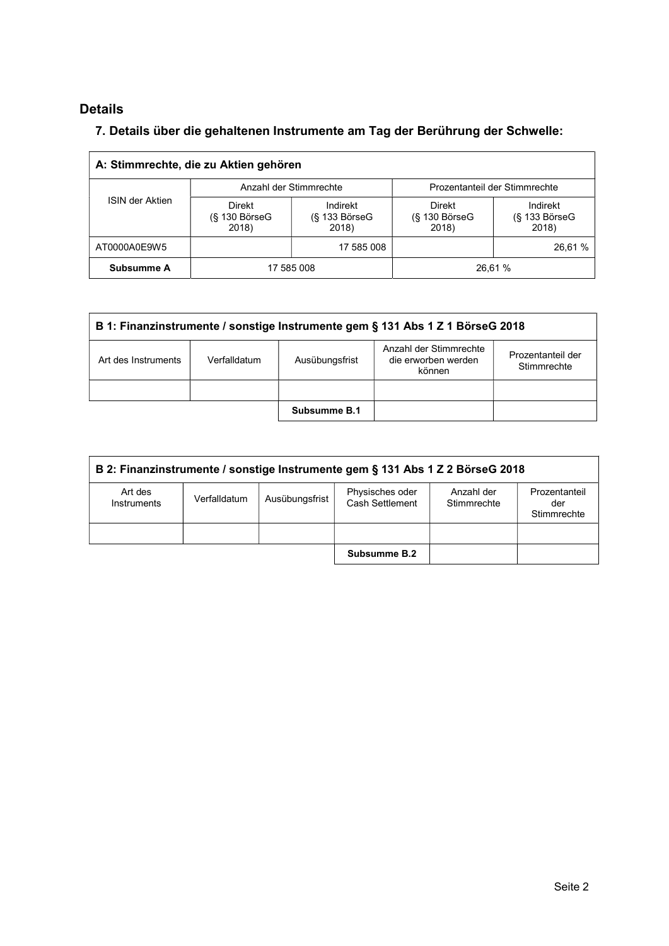# Details

# 7. Details über die gehaltenen Instrumente am Tag der Berührung der Schwelle:

| A: Stimmrechte, die zu Aktien gehören |                                           |                                         |                                       |                                    |  |  |
|---------------------------------------|-------------------------------------------|-----------------------------------------|---------------------------------------|------------------------------------|--|--|
|                                       |                                           | Anzahl der Stimmrechte                  | Prozentanteil der Stimmrechte         |                                    |  |  |
| <b>ISIN der Aktien</b>                | <b>Direkt</b><br>$(S$ 130 BörseG<br>2018) | Indirekt<br>$(S$ 133 Börse $G$<br>2018) | Direkt<br>$(S$ 130 Börse $G$<br>2018) | Indirekt<br>(§ 133 BörseG<br>2018) |  |  |
| AT0000A0E9W5                          |                                           | 17 585 008                              |                                       | 26,61 %                            |  |  |
| Subsumme A                            |                                           | 17 585 008                              |                                       | 26.61 %                            |  |  |

| B 1: Finanzinstrumente / sonstige Instrumente gem § 131 Abs 1 Z 1 BörseG 2018                                                                        |  |  |  |  |  |
|------------------------------------------------------------------------------------------------------------------------------------------------------|--|--|--|--|--|
| Anzahl der Stimmrechte<br>Prozentanteil der<br>die erworben werden<br>Art des Instruments<br>Ausübungsfrist<br>Verfalldatum<br>Stimmrechte<br>können |  |  |  |  |  |
|                                                                                                                                                      |  |  |  |  |  |
| Subsumme B.1                                                                                                                                         |  |  |  |  |  |

| B 2: Finanzinstrumente / sonstige Instrumente gem § 131 Abs 1 Z 2 BörseG 2018                                                                                      |  |  |              |  |  |  |
|--------------------------------------------------------------------------------------------------------------------------------------------------------------------|--|--|--------------|--|--|--|
| Physisches oder<br>Art des<br>Anzahl der<br>Prozentanteil<br>Ausübungsfrist<br>Verfalldatum<br>Cash Settlement<br>Stimmrechte<br>Instruments<br>der<br>Stimmrechte |  |  |              |  |  |  |
|                                                                                                                                                                    |  |  |              |  |  |  |
|                                                                                                                                                                    |  |  | Subsumme B.2 |  |  |  |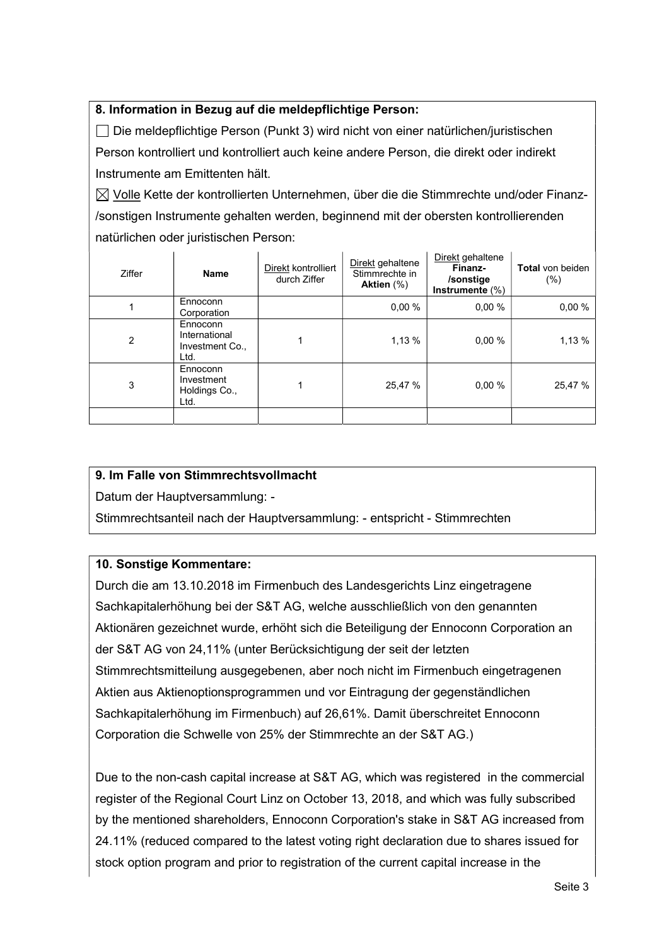# 8. Information in Bezug auf die meldepflichtige Person:

 Die meldepflichtige Person (Punkt 3) wird nicht von einer natürlichen/juristischen Person kontrolliert und kontrolliert auch keine andere Person, die direkt oder indirekt Instrumente am Emittenten hält.

 $\boxtimes$  Volle Kette der kontrollierten Unternehmen, über die die Stimmrechte und/oder Finanz-/sonstigen Instrumente gehalten werden, beginnend mit der obersten kontrollierenden natürlichen oder juristischen Person:

| <b>Ziffer</b>  | <b>Name</b>                                          | Direkt kontrolliert<br>durch Ziffer | Direkt gehaltene<br>Stimmrechte in<br>Aktien $(\%)$ | Direkt gehaltene<br>Finanz-<br>/sonstige<br>Instrumente (%) | <b>Total</b> von beiden<br>$(\% )$ |
|----------------|------------------------------------------------------|-------------------------------------|-----------------------------------------------------|-------------------------------------------------------------|------------------------------------|
|                | Ennoconn<br>Corporation                              |                                     | 0.00%                                               | $0.00 \%$                                                   | 0.00%                              |
| $\overline{2}$ | Ennoconn<br>International<br>Investment Co.,<br>Ltd. |                                     | 1,13 %                                              | 0.00%                                                       | 1,13 %                             |
| 3              | Ennoconn<br>Investment<br>Holdings Co.,<br>Ltd.      |                                     | 25,47 %                                             | 0.00%                                                       | 25,47 %                            |
|                |                                                      |                                     |                                                     |                                                             |                                    |

## 9. Im Falle von Stimmrechtsvollmacht

Datum der Hauptversammlung: -

Stimmrechtsanteil nach der Hauptversammlung: - entspricht - Stimmrechten

## 10. Sonstige Kommentare:

Durch die am 13.10.2018 im Firmenbuch des Landesgerichts Linz eingetragene Sachkapitalerhöhung bei der S&T AG, welche ausschließlich von den genannten Aktionären gezeichnet wurde, erhöht sich die Beteiligung der Ennoconn Corporation an der S&T AG von 24,11% (unter Berücksichtigung der seit der letzten Stimmrechtsmitteilung ausgegebenen, aber noch nicht im Firmenbuch eingetragenen Aktien aus Aktienoptionsprogrammen und vor Eintragung der gegenständlichen Sachkapitalerhöhung im Firmenbuch) auf 26,61%. Damit überschreitet Ennoconn Corporation die Schwelle von 25% der Stimmrechte an der S&T AG.)

Due to the non-cash capital increase at S&T AG, which was registered in the commercial register of the Regional Court Linz on October 13, 2018, and which was fully subscribed by the mentioned shareholders, Ennoconn Corporation's stake in S&T AG increased from 24.11% (reduced compared to the latest voting right declaration due to shares issued for stock option program and prior to registration of the current capital increase in the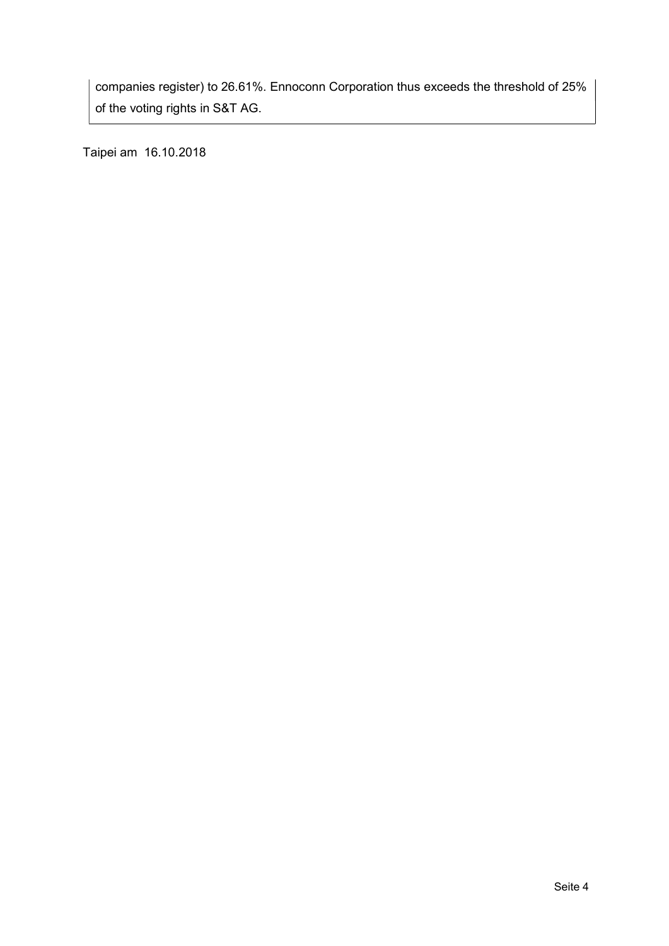companies register) to 26.61%. Ennoconn Corporation thus exceeds the threshold of 25% of the voting rights in S&T AG.

Taipei am 16.10.2018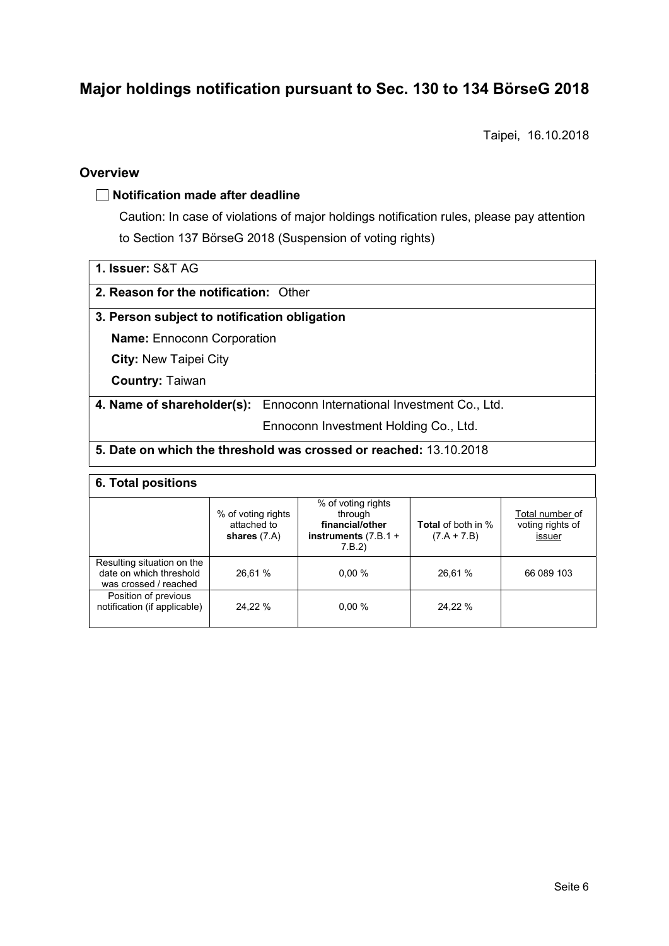# Major holdings notification pursuant to Sec. 130 to 134 BörseG 2018

Taipei, 16.10.2018

## **Overview**

#### $\Box$  Notification made after deadline

Caution: In case of violations of major holdings notification rules, please pay attention to Section 137 BörseG 2018 (Suspension of voting rights)

| <b>1. Issuer: S&amp;T AG</b> |  |
|------------------------------|--|
|------------------------------|--|

#### 2. Reason for the notification: Other

#### 3. Person subject to notification obligation

Name: Ennoconn Corporation

City: New Taipei City

Country: Taiwan

4. Name of shareholder(s): Ennoconn International Investment Co., Ltd.

Ennoconn Investment Holding Co., Ltd.

### 5. Date on which the threshold was crossed or reached: 13.10.2018

#### 6. Total positions

|                                                                                | % of voting rights<br>attached to<br>shares $(7.A)$ | % of voting rights<br>through<br>financial/other<br>instruments $(7.B.1 +$<br>7.B.2) | <b>Total</b> of both in %<br>$(7.A + 7.B)$ | Total number of<br>voting rights of<br>issuer |  |  |  |
|--------------------------------------------------------------------------------|-----------------------------------------------------|--------------------------------------------------------------------------------------|--------------------------------------------|-----------------------------------------------|--|--|--|
| Resulting situation on the<br>date on which threshold<br>was crossed / reached | 26.61 %                                             | 0.00%                                                                                | 26.61 %                                    | 66 089 103                                    |  |  |  |
| Position of previous<br>notification (if applicable)                           | 24.22 %                                             | 0.00%                                                                                | 24.22 %                                    |                                               |  |  |  |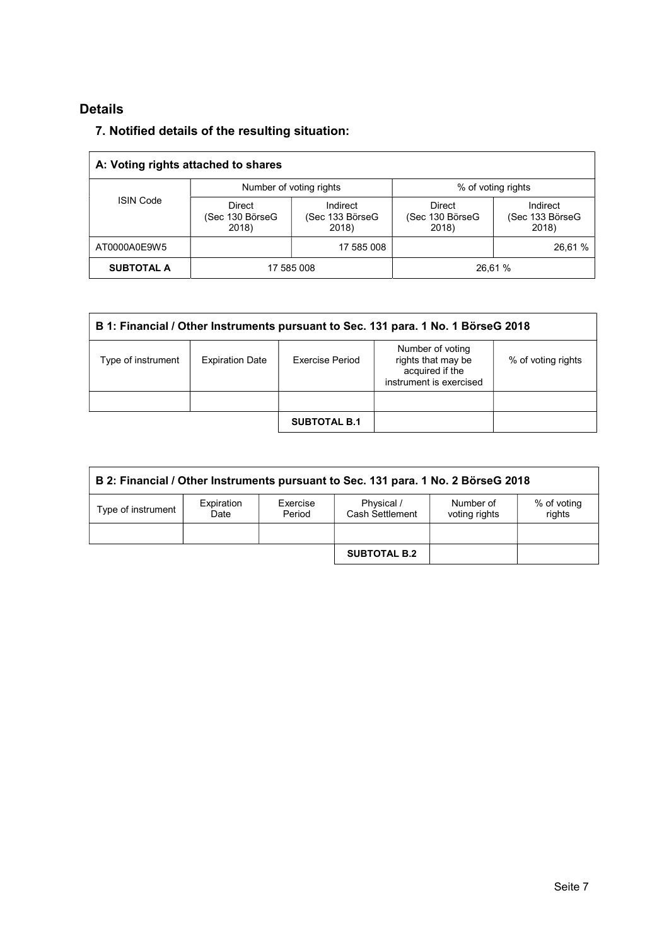# Details

# 7. Notified details of the resulting situation:

| A: Voting rights attached to shares |                                           |                                      |                                           |                                      |  |  |
|-------------------------------------|-------------------------------------------|--------------------------------------|-------------------------------------------|--------------------------------------|--|--|
| <b>ISIN Code</b>                    |                                           | Number of voting rights              | % of voting rights                        |                                      |  |  |
|                                     | <b>Direct</b><br>(Sec 130 BörseG<br>2018) | Indirect<br>(Sec 133 BörseG<br>2018) | <b>Direct</b><br>(Sec 130 BörseG<br>2018) | Indirect<br>(Sec 133 BörseG<br>2018) |  |  |
| AT0000A0E9W5                        |                                           | 17 585 008                           |                                           | 26,61 %                              |  |  |
| <b>SUBTOTAL A</b>                   |                                           | 17 585 008                           |                                           | 26.61 %                              |  |  |

| B 1: Financial / Other Instruments pursuant to Sec. 131 para. 1 No. 1 BörseG 2018 |                        |                     |                                                                                      |                    |  |
|-----------------------------------------------------------------------------------|------------------------|---------------------|--------------------------------------------------------------------------------------|--------------------|--|
| Type of instrument                                                                | <b>Expiration Date</b> | Exercise Period     | Number of voting<br>rights that may be<br>acquired if the<br>instrument is exercised | % of voting rights |  |
|                                                                                   |                        |                     |                                                                                      |                    |  |
|                                                                                   |                        | <b>SUBTOTAL B.1</b> |                                                                                      |                    |  |

| B 2: Financial / Other Instruments pursuant to Sec. 131 para. 1 No. 2 BörseG 2018                                                                      |  |  |                     |  |  |  |
|--------------------------------------------------------------------------------------------------------------------------------------------------------|--|--|---------------------|--|--|--|
| Expiration<br>Physical /<br>% of voting<br>Exercise<br>Number of<br>Type of instrument<br>Cash Settlement<br>rights<br>Period<br>voting rights<br>Date |  |  |                     |  |  |  |
|                                                                                                                                                        |  |  |                     |  |  |  |
|                                                                                                                                                        |  |  | <b>SUBTOTAL B.2</b> |  |  |  |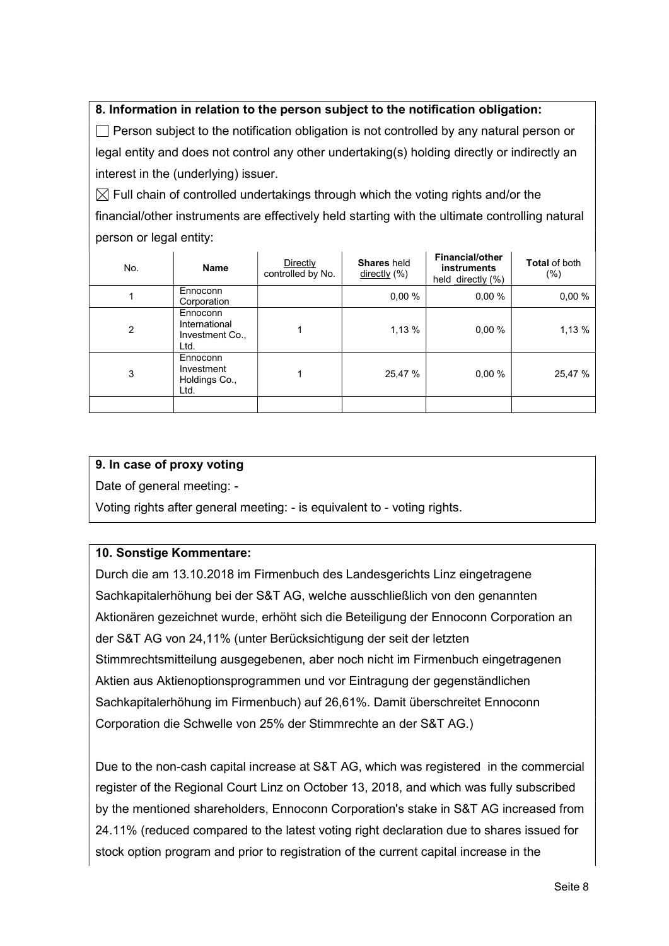# 8. Information in relation to the person subject to the notification obligation:

 $\Box$  Person subject to the notification obligation is not controlled by any natural person or legal entity and does not control any other undertaking(s) holding directly or indirectly an interest in the (underlying) issuer.

 $\boxtimes$  Full chain of controlled undertakings through which the voting rights and/or the financial/other instruments are effectively held starting with the ultimate controlling natural person or legal entity:

| No. | <b>Name</b>                                          | Directly<br>controlled by No. | <b>Shares</b> held<br>$\frac{\text{directly}}{8}$ | Financial/other<br><b>instruments</b><br>held directly (%) | <b>Total of both</b><br>(%) |
|-----|------------------------------------------------------|-------------------------------|---------------------------------------------------|------------------------------------------------------------|-----------------------------|
|     | Ennoconn<br>Corporation                              |                               | 0.00%                                             | 0.00%                                                      | 0,00%                       |
| 2   | Ennoconn<br>International<br>Investment Co.,<br>Ltd. |                               | 1,13 %                                            | 0.00%                                                      | 1,13 %                      |
| 3   | Ennoconn<br>Investment<br>Holdings Co.,<br>Ltd.      |                               | 25,47 %                                           | 0.00%                                                      | 25,47 %                     |
|     |                                                      |                               |                                                   |                                                            |                             |

### 9. In case of proxy voting

Date of general meeting: -

Voting rights after general meeting: - is equivalent to - voting rights.

## 10. Sonstige Kommentare:

Durch die am 13.10.2018 im Firmenbuch des Landesgerichts Linz eingetragene Sachkapitalerhöhung bei der S&T AG, welche ausschließlich von den genannten Aktionären gezeichnet wurde, erhöht sich die Beteiligung der Ennoconn Corporation an der S&T AG von 24,11% (unter Berücksichtigung der seit der letzten Stimmrechtsmitteilung ausgegebenen, aber noch nicht im Firmenbuch eingetragenen Aktien aus Aktienoptionsprogrammen und vor Eintragung der gegenständlichen Sachkapitalerhöhung im Firmenbuch) auf 26,61%. Damit überschreitet Ennoconn Corporation die Schwelle von 25% der Stimmrechte an der S&T AG.)

Due to the non-cash capital increase at S&T AG, which was registered in the commercial register of the Regional Court Linz on October 13, 2018, and which was fully subscribed by the mentioned shareholders, Ennoconn Corporation's stake in S&T AG increased from 24.11% (reduced compared to the latest voting right declaration due to shares issued for stock option program and prior to registration of the current capital increase in the